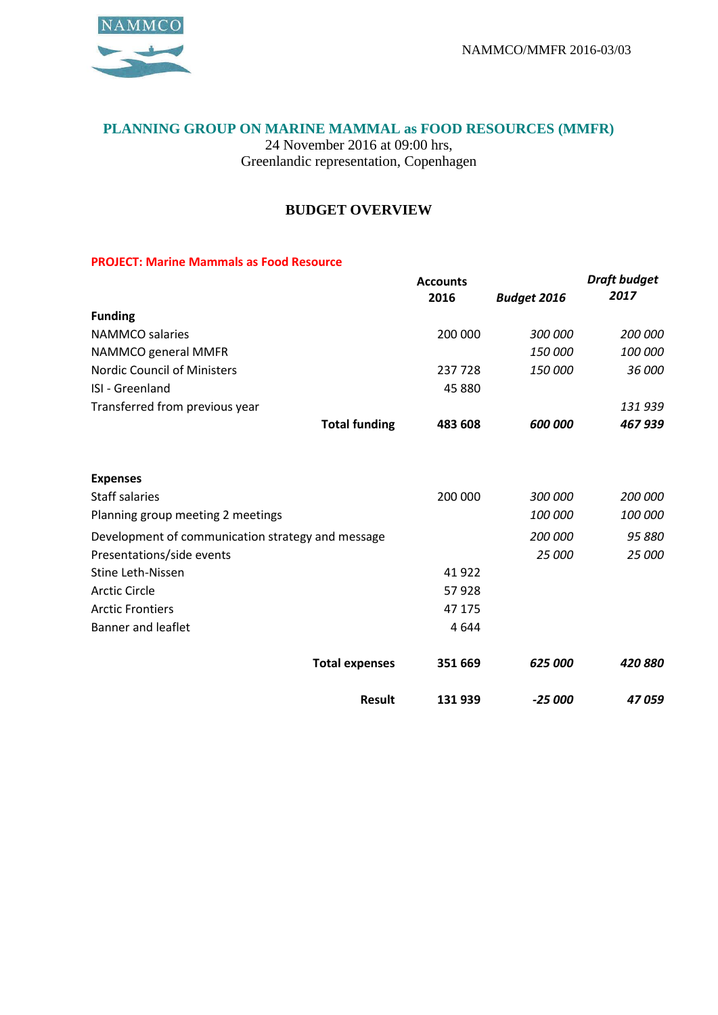*Draft budget* 



## **PLANNING GROUP ON MARINE MAMMAL as FOOD RESOURCES (MMFR)**

24 November 2016 at 09:00 hrs, Greenlandic representation, Copenhagen

## **BUDGET OVERVIEW**

## **PROJECT: Marine Mammals as Food Resource**

|                                                   | <b>Accounts</b> |                    | Draft budget |
|---------------------------------------------------|-----------------|--------------------|--------------|
|                                                   | 2016            | <b>Budget 2016</b> | 2017         |
| <b>Funding</b>                                    |                 |                    |              |
| <b>NAMMCO</b> salaries                            | 200 000         | 300 000            | 200 000      |
| NAMMCO general MMFR                               |                 | 150 000            | 100 000      |
| Nordic Council of Ministers                       | 237 728         | 150 000            | 36 000       |
| ISI - Greenland                                   | 45 880          |                    |              |
| Transferred from previous year                    |                 |                    | 131 939      |
| <b>Total funding</b>                              | 483 608         | 600 000            | 467939       |
| <b>Expenses</b>                                   |                 |                    |              |
| <b>Staff salaries</b>                             | 200 000         | 300 000            | 200 000      |
| Planning group meeting 2 meetings                 |                 | 100 000            | 100 000      |
| Development of communication strategy and message |                 | 200 000            | 95 880       |
| Presentations/side events                         |                 | 25 000             | 25 000       |
| <b>Stine Leth-Nissen</b>                          | 41922           |                    |              |
| <b>Arctic Circle</b>                              | 57928           |                    |              |
| <b>Arctic Frontiers</b>                           | 47 175          |                    |              |
| <b>Banner and leaflet</b>                         | 4644            |                    |              |
| <b>Total expenses</b>                             | 351 669         | 625 000            | 420880       |
| <b>Result</b>                                     | 131 939         | $-25000$           | 47059        |